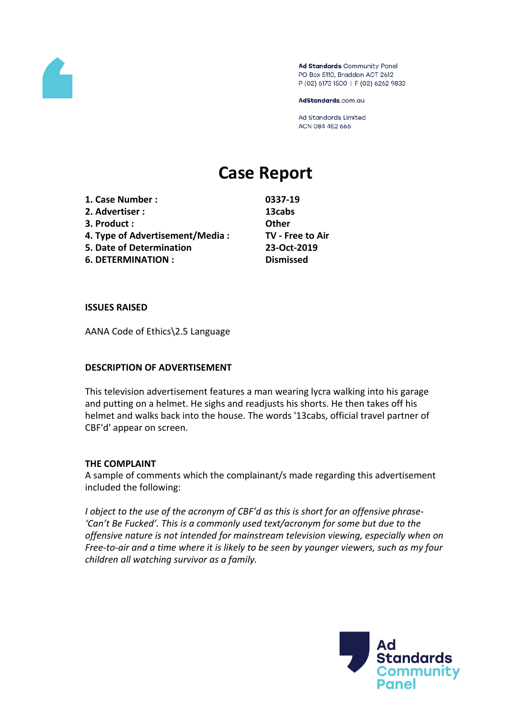

Ad Standards Community Panel PO Box 5110, Braddon ACT 2612 P (02) 6173 1500 | F (02) 6262 9833

AdStandards.com.au

Ad Standards Limited ACN 084 452 666

# **Case Report**

**1. Case Number : 0337-19 2. Advertiser : 13cabs 3. Product : Other 4. Type of Advertisement/Media : TV - Free to Air 5. Date of Determination 23-Oct-2019 6. DETERMINATION : Dismissed**

#### **ISSUES RAISED**

AANA Code of Ethics\2.5 Language

#### **DESCRIPTION OF ADVERTISEMENT**

This television advertisement features a man wearing lycra walking into his garage and putting on a helmet. He sighs and readjusts his shorts. He then takes off his helmet and walks back into the house. The words '13cabs, official travel partner of CBF'd' appear on screen.

#### **THE COMPLAINT**

A sample of comments which the complainant/s made regarding this advertisement included the following:

*I object to the use of the acronym of CBF'd as this is short for an offensive phrase- 'Can't Be Fucked'. This is a commonly used text/acronym for some but due to the offensive nature is not intended for mainstream television viewing, especially when on Free-to-air and a time where it is likely to be seen by younger viewers, such as my four children all watching survivor as a family.*

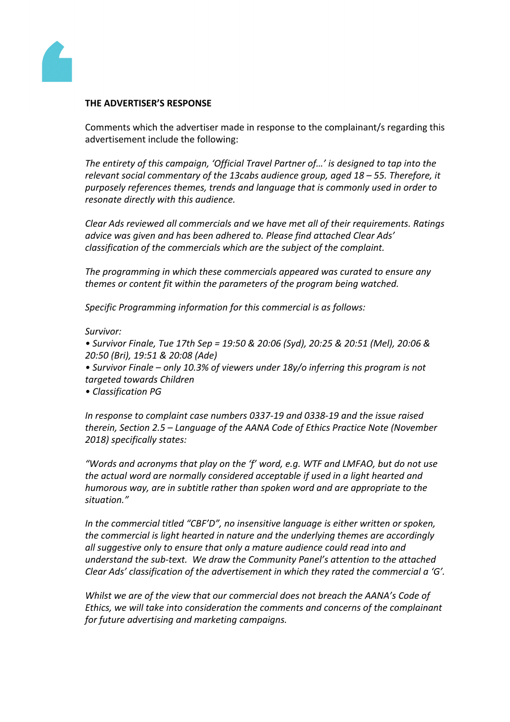

### **THE ADVERTISER'S RESPONSE**

Comments which the advertiser made in response to the complainant/s regarding this advertisement include the following:

*The entirety of this campaign, 'Official Travel Partner of…' is designed to tap into the relevant social commentary of the 13cabs audience group, aged 18 – 55. Therefore, it purposely references themes, trends and language that is commonly used in order to resonate directly with this audience.*

*Clear Ads reviewed all commercials and we have met all of their requirements. Ratings advice was given and has been adhered to. Please find attached Clear Ads' classification of the commercials which are the subject of the complaint.*

*The programming in which these commercials appeared was curated to ensure any themes or content fit within the parameters of the program being watched.*

*Specific Programming information for this commercial is as follows:*

*Survivor:*

*• Survivor Finale, Tue 17th Sep = 19:50 & 20:06 (Syd), 20:25 & 20:51 (Mel), 20:06 & 20:50 (Bri), 19:51 & 20:08 (Ade)*

*• Survivor Finale – only 10.3% of viewers under 18y/o inferring this program is not targeted towards Children*

*• Classification PG*

*In response to complaint case numbers 0337-19 and 0338-19 and the issue raised therein, Section 2.5 – Language of the AANA Code of Ethics Practice Note (November 2018) specifically states:*

*"Words and acronyms that play on the 'f' word, e.g. WTF and LMFAO, but do not use the actual word are normally considered acceptable if used in a light hearted and humorous way, are in subtitle rather than spoken word and are appropriate to the situation."*

*In the commercial titled "CBF'D", no insensitive language is either written or spoken, the commercial is light hearted in nature and the underlying themes are accordingly all suggestive only to ensure that only a mature audience could read into and understand the sub-text. We draw the Community Panel's attention to the attached Clear Ads' classification of the advertisement in which they rated the commercial a 'G'.*

*Whilst we are of the view that our commercial does not breach the AANA's Code of Ethics, we will take into consideration the comments and concerns of the complainant for future advertising and marketing campaigns.*